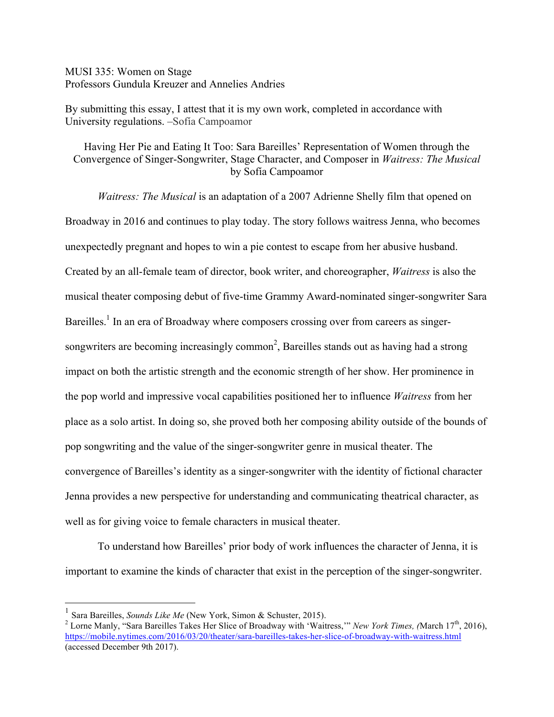MUSI 335: Women on Stage Professors Gundula Kreuzer and Annelies Andries

By submitting this essay, I attest that it is my own work, completed in accordance with University regulations. –Sofía Campoamor

Having Her Pie and Eating It Too: Sara Bareilles' Representation of Women through the Convergence of Singer-Songwriter, Stage Character, and Composer in *Waitress: The Musical* by Sofía Campoamor

*Waitress: The Musical* is an adaptation of a 2007 Adrienne Shelly film that opened on Broadway in 2016 and continues to play today. The story follows waitress Jenna, who becomes unexpectedly pregnant and hopes to win a pie contest to escape from her abusive husband. Created by an all-female team of director, book writer, and choreographer, *Waitress* is also the musical theater composing debut of five-time Grammy Award-nominated singer-songwriter Sara Bareilles.<sup>1</sup> In an era of Broadway where composers crossing over from careers as singersongwriters are becoming increasingly common<sup>2</sup>, Bareilles stands out as having had a strong impact on both the artistic strength and the economic strength of her show. Her prominence in the pop world and impressive vocal capabilities positioned her to influence *Waitress* from her place as a solo artist. In doing so, she proved both her composing ability outside of the bounds of pop songwriting and the value of the singer-songwriter genre in musical theater. The convergence of Bareilles's identity as a singer-songwriter with the identity of fictional character Jenna provides a new perspective for understanding and communicating theatrical character, as well as for giving voice to female characters in musical theater.

To understand how Bareilles' prior body of work influences the character of Jenna, it is important to examine the kinds of character that exist in the perception of the singer-songwriter.

<sup>&</sup>lt;sup>1</sup> Sara Bareilles, *Sounds Like Me* (New York, Simon & Schuster, 2015).

<sup>&</sup>lt;sup>2</sup> Lorne Manly, "Sara Bareilles Takes Her Slice of Broadway with 'Waitress,'" *New York Times, (March 17<sup>th</sup>, 2016)*, https://mobile.nytimes.com/2016/03/20/theater/sara-bareilles-takes-her-slice-of-broadway-with-waitress.html (accessed December 9th 2017).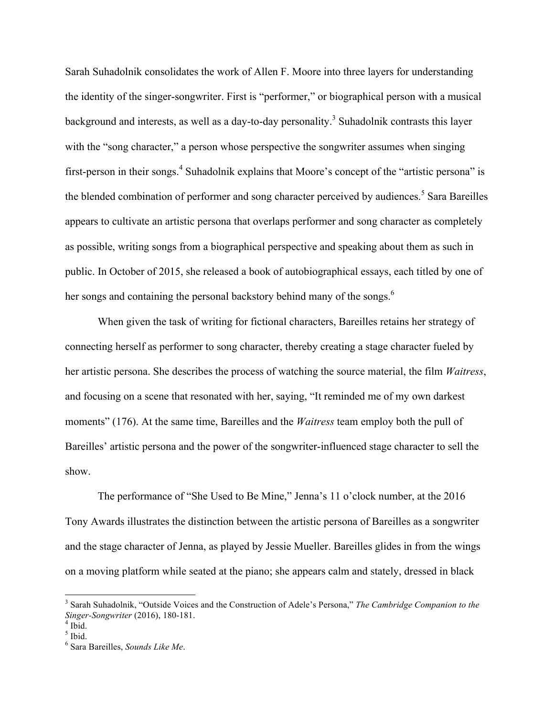Sarah Suhadolnik consolidates the work of Allen F. Moore into three layers for understanding the identity of the singer-songwriter. First is "performer," or biographical person with a musical background and interests, as well as a day-to-day personality.<sup>3</sup> Suhadolnik contrasts this layer with the "song character," a person whose perspective the songwriter assumes when singing first-person in their songs.<sup>4</sup> Suhadolnik explains that Moore's concept of the "artistic persona" is the blended combination of performer and song character perceived by audiences.<sup>5</sup> Sara Bareilles appears to cultivate an artistic persona that overlaps performer and song character as completely as possible, writing songs from a biographical perspective and speaking about them as such in public. In October of 2015, she released a book of autobiographical essays, each titled by one of her songs and containing the personal backstory behind many of the songs.<sup>6</sup>

When given the task of writing for fictional characters, Bareilles retains her strategy of connecting herself as performer to song character, thereby creating a stage character fueled by her artistic persona. She describes the process of watching the source material, the film *Waitress*, and focusing on a scene that resonated with her, saying, "It reminded me of my own darkest moments" (176). At the same time, Bareilles and the *Waitress* team employ both the pull of Bareilles' artistic persona and the power of the songwriter-influenced stage character to sell the show.

The performance of "She Used to Be Mine," Jenna's 11 o'clock number, at the 2016 Tony Awards illustrates the distinction between the artistic persona of Bareilles as a songwriter and the stage character of Jenna, as played by Jessie Mueller. Bareilles glides in from the wings on a moving platform while seated at the piano; she appears calm and stately, dressed in black

 <sup>3</sup> Sarah Suhadolnik, "Outside Voices and the Construction of Adele's Persona," *The Cambridge Companion to the Singer-Songwriter* (2016), 180-181. <sup>4</sup> Ibid.

 $<sup>5</sup>$  Ibid.</sup>

<sup>6</sup> Sara Bareilles, *Sounds Like Me*.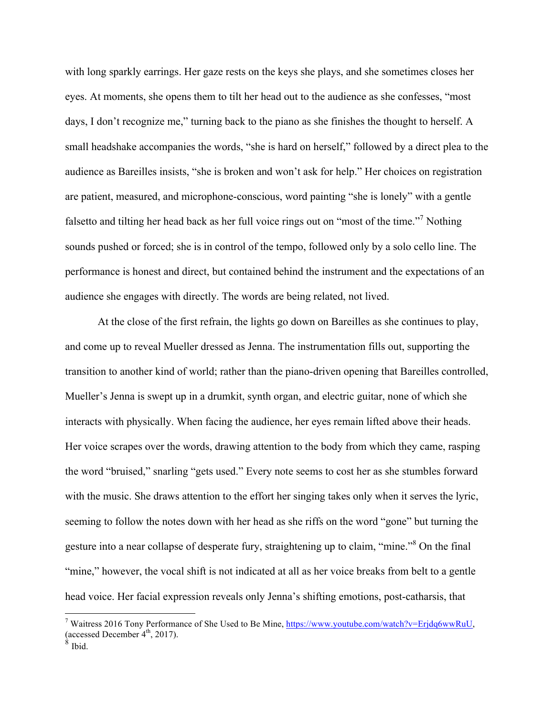with long sparkly earrings. Her gaze rests on the keys she plays, and she sometimes closes her eyes. At moments, she opens them to tilt her head out to the audience as she confesses, "most days, I don't recognize me," turning back to the piano as she finishes the thought to herself. A small headshake accompanies the words, "she is hard on herself," followed by a direct plea to the audience as Bareilles insists, "she is broken and won't ask for help." Her choices on registration are patient, measured, and microphone-conscious, word painting "she is lonely" with a gentle falsetto and tilting her head back as her full voice rings out on "most of the time."<sup>7</sup> Nothing sounds pushed or forced; she is in control of the tempo, followed only by a solo cello line. The performance is honest and direct, but contained behind the instrument and the expectations of an audience she engages with directly. The words are being related, not lived.

At the close of the first refrain, the lights go down on Bareilles as she continues to play, and come up to reveal Mueller dressed as Jenna. The instrumentation fills out, supporting the transition to another kind of world; rather than the piano-driven opening that Bareilles controlled, Mueller's Jenna is swept up in a drumkit, synth organ, and electric guitar, none of which she interacts with physically. When facing the audience, her eyes remain lifted above their heads. Her voice scrapes over the words, drawing attention to the body from which they came, rasping the word "bruised," snarling "gets used." Every note seems to cost her as she stumbles forward with the music. She draws attention to the effort her singing takes only when it serves the lyric, seeming to follow the notes down with her head as she riffs on the word "gone" but turning the gesture into a near collapse of desperate fury, straightening up to claim, "mine."<sup>8</sup> On the final "mine," however, the vocal shift is not indicated at all as her voice breaks from belt to a gentle head voice. Her facial expression reveals only Jenna's shifting emotions, post-catharsis, that

<sup>&</sup>lt;sup>7</sup> Waitress 2016 Tony Performance of She Used to Be Mine, https://www.youtube.com/watch?v=Erjdq6wwRuU, (accessed December  $4<sup>th</sup>$ , 2017).

**Ibid.**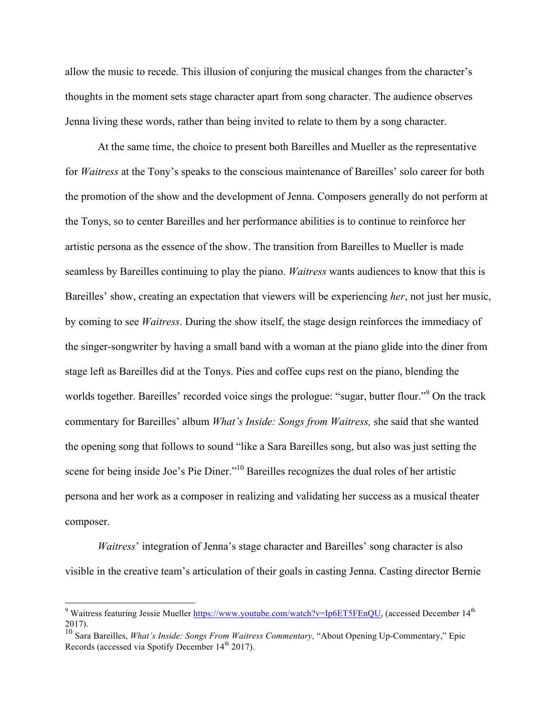allow the music to recede. This illusion of conjuring the musical changes from the character's thoughts in the moment sets stage character apart from song character. The audience observes Jenna living these words, rather than being invited to relate to them by a song character.

At the same time, the choice to present both Bareilles and Mueller as the representative for *Waitress* at the Tony's speaks to the conscious maintenance of Bareilles' solo career for both the promotion of the show and the development of Jenna. Composers generally do not perform at the Tonys, so to center Bareilles and her performance abilities is to continue to reinforce her artistic persona as the essence of the show. The transition from Bareilles to Mueller is made seamless by Bareilles continuing to play the piano. *Waitress* wants audiences to know that this is Bareilles' show, creating an expectation that viewers will be experiencing *her*, not just her music, by coming to see *Waitress*. During the show itself, the stage design reinforces the immediacy of the singer-songwriter by having a small band with a woman at the piano glide into the diner from stage left as Bareilles did at the Tonys. Pies and coffee cups rest on the piano, blending the worlds together. Bareilles' recorded voice sings the prologue: "sugar, butter flour."9 On the track commentary for Bareilles' album *What's Inside: Songs from Waitress,* she said that she wanted the opening song that follows to sound "like a Sara Bareilles song, but also was just setting the scene for being inside Joe's Pie Diner."<sup>10</sup> Bareilles recognizes the dual roles of her artistic persona and her work as a composer in realizing and validating her success as a musical theater composer.

*Waitress*' integration of Jenna's stage character and Bareilles' song character is also visible in the creative team's articulation of their goals in casting Jenna. Casting director Bernie

<sup>&</sup>lt;sup>9</sup> Waitress featuring Jessie Mueller https://www.youtube.com/watch?v=Ip6ET5FEnQU, (accessed December 14<sup>th</sup>) 2017).

<sup>10</sup> Sara Bareilles, *What's Inside: Songs From Waitress Commentary,* "About Opening Up-Commentary," Epic Records (accessed via Spotify December 14<sup>th</sup> 2017).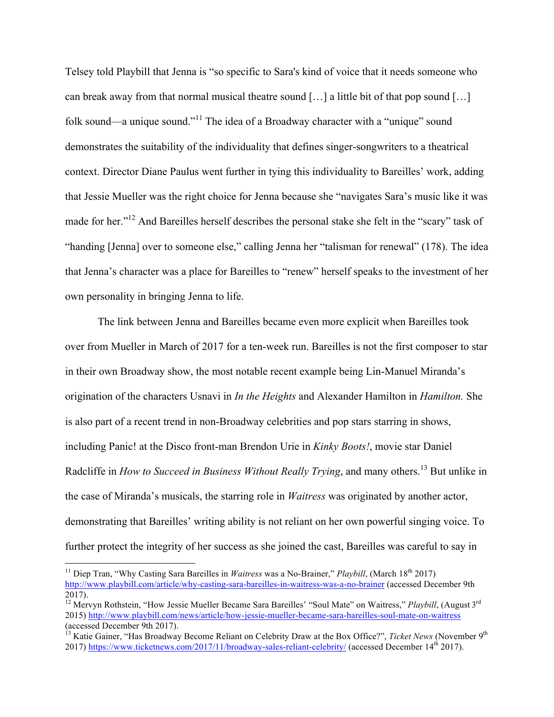Telsey told Playbill that Jenna is "so specific to Sara's kind of voice that it needs someone who can break away from that normal musical theatre sound […] a little bit of that pop sound […] folk sound—a unique sound."<sup>11</sup> The idea of a Broadway character with a "unique" sound demonstrates the suitability of the individuality that defines singer-songwriters to a theatrical context. Director Diane Paulus went further in tying this individuality to Bareilles' work, adding that Jessie Mueller was the right choice for Jenna because she "navigates Sara's music like it was made for her."<sup>12</sup> And Bareilles herself describes the personal stake she felt in the "scary" task of "handing [Jenna] over to someone else," calling Jenna her "talisman for renewal" (178). The idea that Jenna's character was a place for Bareilles to "renew" herself speaks to the investment of her own personality in bringing Jenna to life.

The link between Jenna and Bareilles became even more explicit when Bareilles took over from Mueller in March of 2017 for a ten-week run. Bareilles is not the first composer to star in their own Broadway show, the most notable recent example being Lin-Manuel Miranda's origination of the characters Usnavi in *In the Heights* and Alexander Hamilton in *Hamilton.* She is also part of a recent trend in non-Broadway celebrities and pop stars starring in shows, including Panic! at the Disco front-man Brendon Urie in *Kinky Boots!*, movie star Daniel Radcliffe in *How to Succeed in Business Without Really Trying*, and many others.<sup>13</sup> But unlike in the case of Miranda's musicals, the starring role in *Waitress* was originated by another actor, demonstrating that Bareilles' writing ability is not reliant on her own powerful singing voice. To further protect the integrity of her success as she joined the cast, Bareilles was careful to say in

<sup>&</sup>lt;sup>11</sup> Diep Tran, "Why Casting Sara Bareilles in *Waitress* was a No-Brainer," *Playbill*, (March 18<sup>th</sup> 2017) http://www.playbill.com/article/why-casting-sara-bareilles-in-waitress-was-a-no-brainer (accessed December 9th  $2017$ ).

<sup>&</sup>lt;sup>12</sup> Mervyn Rothstein, "How Jessie Mueller Became Sara Bareilles' "Soul Mate" on Waitress," *Playbill*, (August 3<sup>rd</sup>) 2015) http://www.playbill.com/news/article/how-jessie-mueller-became-sara-bareilles-soul-mate-on-waitress (accessed December 9th 2017).

<sup>&</sup>lt;sup>13</sup> Katie Gainer, "Has Broadway Become Reliant on Celebrity Draw at the Box Office?", *Ticket News* (November 9<sup>th</sup>) 2017) https://www.ticketnews.com/2017/11/broadway-sales-reliant-celebrity/ (accessed December 14th 2017).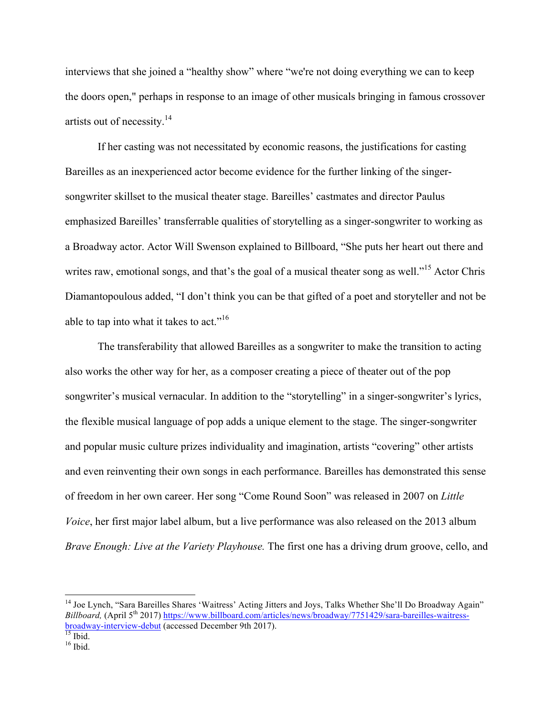interviews that she joined a "healthy show" where "we're not doing everything we can to keep the doors open," perhaps in response to an image of other musicals bringing in famous crossover artists out of necessity.14

If her casting was not necessitated by economic reasons, the justifications for casting Bareilles as an inexperienced actor become evidence for the further linking of the singersongwriter skillset to the musical theater stage. Bareilles' castmates and director Paulus emphasized Bareilles' transferrable qualities of storytelling as a singer-songwriter to working as a Broadway actor. Actor Will Swenson explained to Billboard, "She puts her heart out there and writes raw, emotional songs, and that's the goal of a musical theater song as well."<sup>15</sup> Actor Chris Diamantopoulous added, "I don't think you can be that gifted of a poet and storyteller and not be able to tap into what it takes to act."<sup>16</sup>

The transferability that allowed Bareilles as a songwriter to make the transition to acting also works the other way for her, as a composer creating a piece of theater out of the pop songwriter's musical vernacular. In addition to the "storytelling" in a singer-songwriter's lyrics, the flexible musical language of pop adds a unique element to the stage. The singer-songwriter and popular music culture prizes individuality and imagination, artists "covering" other artists and even reinventing their own songs in each performance. Bareilles has demonstrated this sense of freedom in her own career. Her song "Come Round Soon" was released in 2007 on *Little Voice*, her first major label album, but a live performance was also released on the 2013 album *Brave Enough: Live at the Variety Playhouse.* The first one has a driving drum groove, cello, and

<sup>&</sup>lt;sup>14</sup> Joe Lynch, "Sara Bareilles Shares 'Waitress' Acting Jitters and Joys, Talks Whether She'll Do Broadway Again" *Billboard*, (April 5<sup>th</sup> 2017) https://www.billboard.com/articles/news/broadway/7751429/sara-bareilles-waitressbroadway-interview-debut (accessed December 9th 2017).<br><sup>15</sup> Ibid.<br><sup>16</sup> Ibid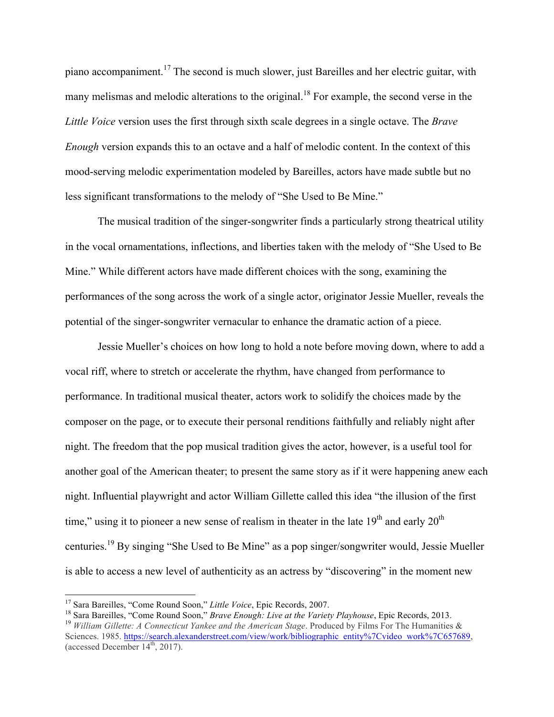piano accompaniment.<sup>17</sup> The second is much slower, just Bareilles and her electric guitar, with many melismas and melodic alterations to the original.<sup>18</sup> For example, the second verse in the *Little Voice* version uses the first through sixth scale degrees in a single octave. The *Brave Enough* version expands this to an octave and a half of melodic content. In the context of this mood-serving melodic experimentation modeled by Bareilles, actors have made subtle but no less significant transformations to the melody of "She Used to Be Mine."

The musical tradition of the singer-songwriter finds a particularly strong theatrical utility in the vocal ornamentations, inflections, and liberties taken with the melody of "She Used to Be Mine." While different actors have made different choices with the song, examining the performances of the song across the work of a single actor, originator Jessie Mueller, reveals the potential of the singer-songwriter vernacular to enhance the dramatic action of a piece.

Jessie Mueller's choices on how long to hold a note before moving down, where to add a vocal riff, where to stretch or accelerate the rhythm, have changed from performance to performance. In traditional musical theater, actors work to solidify the choices made by the composer on the page, or to execute their personal renditions faithfully and reliably night after night. The freedom that the pop musical tradition gives the actor, however, is a useful tool for another goal of the American theater; to present the same story as if it were happening anew each night. Influential playwright and actor William Gillette called this idea "the illusion of the first time," using it to pioneer a new sense of realism in theater in the late  $19<sup>th</sup>$  and early  $20<sup>th</sup>$ centuries.<sup>19</sup> By singing "She Used to Be Mine" as a pop singer/songwriter would, Jessie Mueller is able to access a new level of authenticity as an actress by "discovering" in the moment new

<sup>&</sup>lt;sup>17</sup> Sara Bareilles, "Come Round Soon," *Little Voice*, Epic Records, 2007.<br><sup>18</sup> Sara Bareilles, "Come Round Soon," *Brave Enough: Live at the Variety Playhouse*, Epic Records, 2013.<br><sup>19</sup> William Gillette: A Connecticut Y Sciences. 1985. https://search.alexanderstreet.com/view/work/bibliographic\_entity%7Cvideo\_work%7C657689. (accessed December  $14<sup>th</sup>$ , 2017).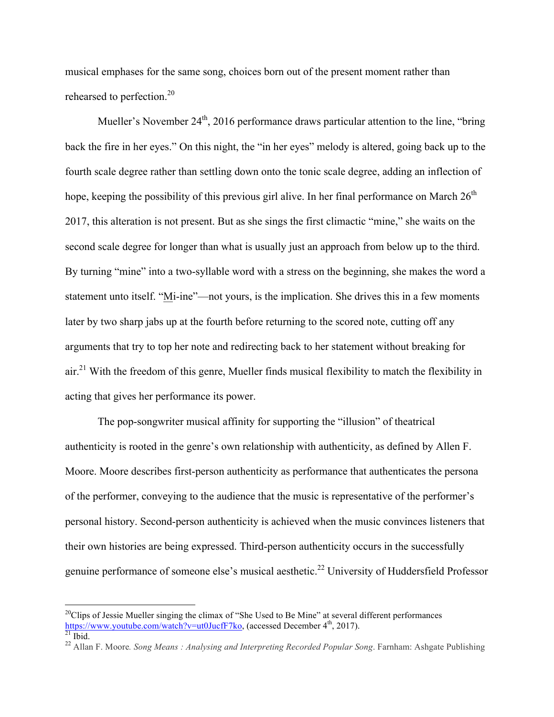musical emphases for the same song, choices born out of the present moment rather than rehearsed to perfection.<sup>20</sup>

Mueller's November  $24<sup>th</sup>$ , 2016 performance draws particular attention to the line, "bring back the fire in her eyes." On this night, the "in her eyes" melody is altered, going back up to the fourth scale degree rather than settling down onto the tonic scale degree, adding an inflection of hope, keeping the possibility of this previous girl alive. In her final performance on March  $26<sup>th</sup>$ 2017, this alteration is not present. But as she sings the first climactic "mine," she waits on the second scale degree for longer than what is usually just an approach from below up to the third. By turning "mine" into a two-syllable word with a stress on the beginning, she makes the word a statement unto itself. "Mi-ine"—not yours, is the implication. She drives this in a few moments later by two sharp jabs up at the fourth before returning to the scored note, cutting off any arguments that try to top her note and redirecting back to her statement without breaking for air.<sup>21</sup> With the freedom of this genre, Mueller finds musical flexibility to match the flexibility in acting that gives her performance its power.

The pop-songwriter musical affinity for supporting the "illusion" of theatrical authenticity is rooted in the genre's own relationship with authenticity, as defined by Allen F. Moore. Moore describes first-person authenticity as performance that authenticates the persona of the performer, conveying to the audience that the music is representative of the performer's personal history. Second-person authenticity is achieved when the music convinces listeners that their own histories are being expressed. Third-person authenticity occurs in the successfully genuine performance of someone else's musical aesthetic.<sup>22</sup> University of Huddersfield Professor

<sup>&</sup>lt;sup>20</sup>Clips of Jessie Mueller singing the climax of "She Used to Be Mine" at several different performances https://www.youtube.com/watch?v=ut0JucfF7ko, (accessed December 4<sup>th</sup>, 2017).<br><sup>21</sup> Ibid. 22 Allan F. Moore. *Song Means : Analysing and Interpreting Recorded Popular Song*. Farnham: Ashgate Publishing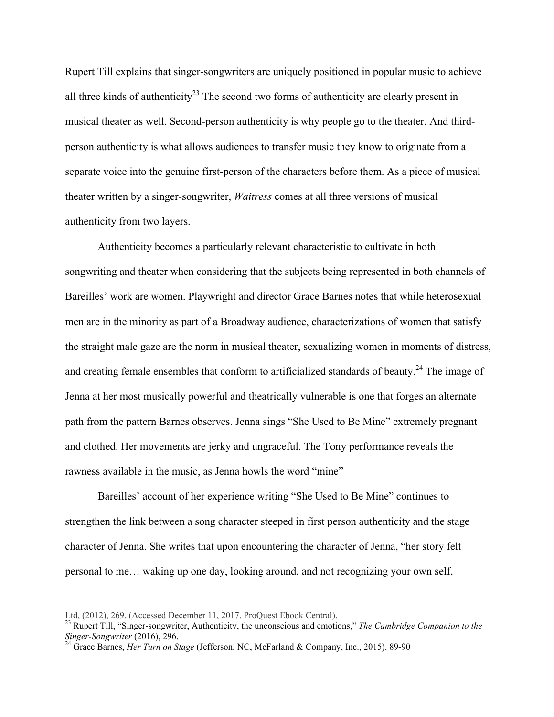Rupert Till explains that singer-songwriters are uniquely positioned in popular music to achieve all three kinds of authenticity<sup>23</sup> The second two forms of authenticity are clearly present in musical theater as well. Second-person authenticity is why people go to the theater. And thirdperson authenticity is what allows audiences to transfer music they know to originate from a separate voice into the genuine first-person of the characters before them. As a piece of musical theater written by a singer-songwriter, *Waitress* comes at all three versions of musical authenticity from two layers.

Authenticity becomes a particularly relevant characteristic to cultivate in both songwriting and theater when considering that the subjects being represented in both channels of Bareilles' work are women. Playwright and director Grace Barnes notes that while heterosexual men are in the minority as part of a Broadway audience, characterizations of women that satisfy the straight male gaze are the norm in musical theater, sexualizing women in moments of distress, and creating female ensembles that conform to artificialized standards of beauty.<sup>24</sup> The image of Jenna at her most musically powerful and theatrically vulnerable is one that forges an alternate path from the pattern Barnes observes. Jenna sings "She Used to Be Mine" extremely pregnant and clothed. Her movements are jerky and ungraceful. The Tony performance reveals the rawness available in the music, as Jenna howls the word "mine"

Bareilles' account of her experience writing "She Used to Be Mine" continues to strengthen the link between a song character steeped in first person authenticity and the stage character of Jenna. She writes that upon encountering the character of Jenna, "her story felt personal to me… waking up one day, looking around, and not recognizing your own self,

Ltd, (2012), 269. (Accessed December 11, 2017. ProQuest Ebook Central).

<sup>&</sup>lt;sup>23</sup> Rupert Till, "Singer-songwriter, Authenticity, the unconscious and emotions," *The Cambridge Companion to the Singer-Songwriter* (2016), 296.

<sup>&</sup>lt;sup>24</sup> Grace Barnes, *Her Turn on Stage* (Jefferson, NC, McFarland & Company, Inc., 2015). 89-90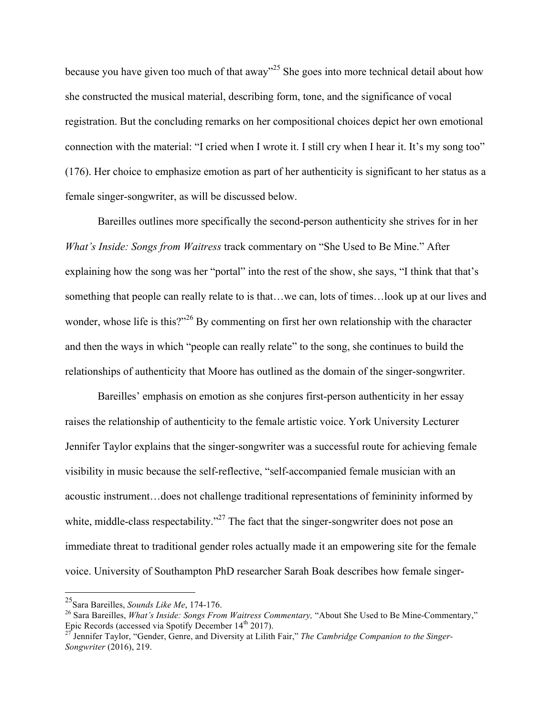because you have given too much of that away"<sup>25</sup> She goes into more technical detail about how she constructed the musical material, describing form, tone, and the significance of vocal registration. But the concluding remarks on her compositional choices depict her own emotional connection with the material: "I cried when I wrote it. I still cry when I hear it. It's my song too" (176). Her choice to emphasize emotion as part of her authenticity is significant to her status as a female singer-songwriter, as will be discussed below.

Bareilles outlines more specifically the second-person authenticity she strives for in her *What's Inside: Songs from Waitress* track commentary on "She Used to Be Mine." After explaining how the song was her "portal" into the rest of the show, she says, "I think that that's something that people can really relate to is that…we can, lots of times…look up at our lives and wonder, whose life is this?"<sup>26</sup> By commenting on first her own relationship with the character and then the ways in which "people can really relate" to the song, she continues to build the relationships of authenticity that Moore has outlined as the domain of the singer-songwriter.

Bareilles' emphasis on emotion as she conjures first-person authenticity in her essay raises the relationship of authenticity to the female artistic voice. York University Lecturer Jennifer Taylor explains that the singer-songwriter was a successful route for achieving female visibility in music because the self-reflective, "self-accompanied female musician with an acoustic instrument…does not challenge traditional representations of femininity informed by white, middle-class respectability."<sup>27</sup> The fact that the singer-songwriter does not pose an immediate threat to traditional gender roles actually made it an empowering site for the female voice. University of Southampton PhD researcher Sarah Boak describes how female singer-

 <sup>25</sup>Sara Bareilles, *Sounds Like Me*, 174-176.

<sup>26</sup> Sara Bareilles, *What's Inside: Songs From Waitress Commentary,* "About She Used to Be Mine-Commentary," Epic Records (accessed via Spotify December 14<sup>th</sup> 2017).<br><sup>27</sup> Jennifer Taylor, "Gender, Genre, and Diversity at Lilith Fair," *The Cambridge Companion to the Singer-*

*Songwriter* (2016), 219.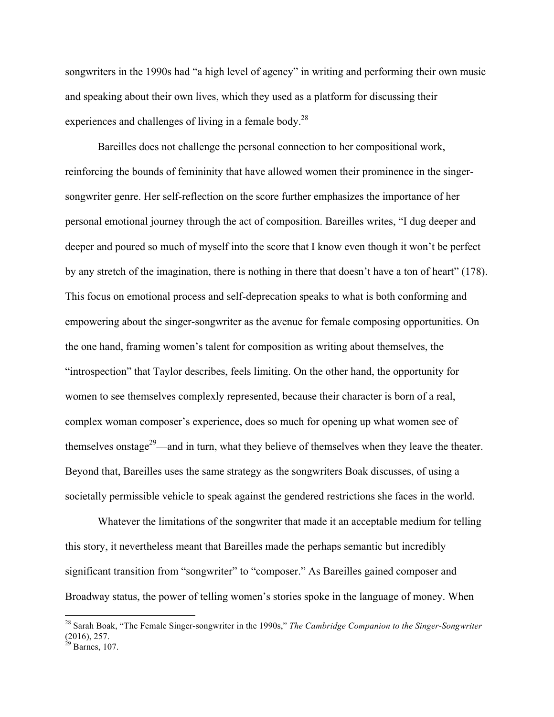songwriters in the 1990s had "a high level of agency" in writing and performing their own music and speaking about their own lives, which they used as a platform for discussing their experiences and challenges of living in a female body.<sup>28</sup>

Bareilles does not challenge the personal connection to her compositional work, reinforcing the bounds of femininity that have allowed women their prominence in the singersongwriter genre. Her self-reflection on the score further emphasizes the importance of her personal emotional journey through the act of composition. Bareilles writes, "I dug deeper and deeper and poured so much of myself into the score that I know even though it won't be perfect by any stretch of the imagination, there is nothing in there that doesn't have a ton of heart" (178). This focus on emotional process and self-deprecation speaks to what is both conforming and empowering about the singer-songwriter as the avenue for female composing opportunities. On the one hand, framing women's talent for composition as writing about themselves, the "introspection" that Taylor describes, feels limiting. On the other hand, the opportunity for women to see themselves complexly represented, because their character is born of a real, complex woman composer's experience, does so much for opening up what women see of themselves onstage<sup>29</sup>—and in turn, what they believe of themselves when they leave the theater. Beyond that, Bareilles uses the same strategy as the songwriters Boak discusses, of using a societally permissible vehicle to speak against the gendered restrictions she faces in the world.

Whatever the limitations of the songwriter that made it an acceptable medium for telling this story, it nevertheless meant that Bareilles made the perhaps semantic but incredibly significant transition from "songwriter" to "composer." As Bareilles gained composer and Broadway status, the power of telling women's stories spoke in the language of money. When

 <sup>28</sup> Sarah Boak, "The Female Singer-songwriter in the 1990s," *The Cambridge Companion to the Singer-Songwriter*  (2016), 257.

 $^{29}$  Barnes, 107.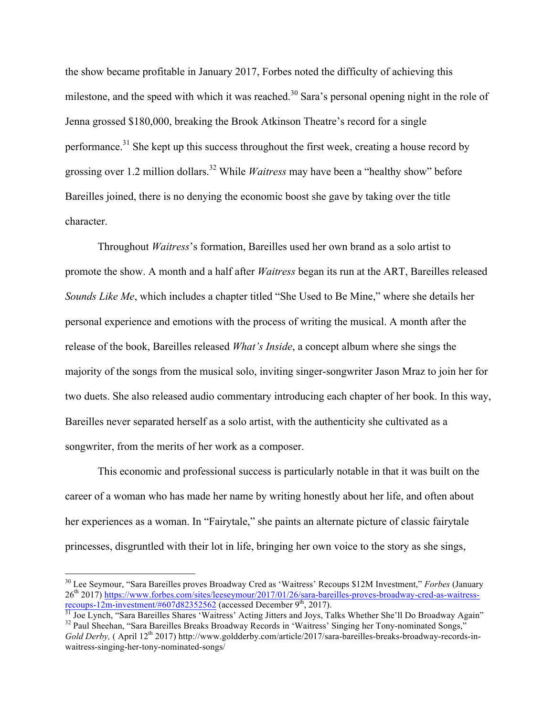the show became profitable in January 2017, Forbes noted the difficulty of achieving this milestone, and the speed with which it was reached.<sup>30</sup> Sara's personal opening night in the role of Jenna grossed \$180,000, breaking the Brook Atkinson Theatre's record for a single performance.<sup>31</sup> She kept up this success throughout the first week, creating a house record by grossing over 1.2 million dollars.<sup>32</sup> While *Waitress* may have been a "healthy show" before Bareilles joined, there is no denying the economic boost she gave by taking over the title character.

Throughout *Waitress*'s formation, Bareilles used her own brand as a solo artist to promote the show. A month and a half after *Waitress* began its run at the ART, Bareilles released *Sounds Like Me*, which includes a chapter titled "She Used to Be Mine," where she details her personal experience and emotions with the process of writing the musical. A month after the release of the book, Bareilles released *What's Inside*, a concept album where she sings the majority of the songs from the musical solo, inviting singer-songwriter Jason Mraz to join her for two duets. She also released audio commentary introducing each chapter of her book. In this way, Bareilles never separated herself as a solo artist, with the authenticity she cultivated as a songwriter, from the merits of her work as a composer.

This economic and professional success is particularly notable in that it was built on the career of a woman who has made her name by writing honestly about her life, and often about her experiences as a woman. In "Fairytale," she paints an alternate picture of classic fairytale princesses, disgruntled with their lot in life, bringing her own voice to the story as she sings,

 <sup>30</sup> Lee Seymour, "Sara Bareilles proves Broadway Cred as 'Waitress' Recoups \$12M Investment," *Forbes* (January 26<sup>th</sup> 2017) https://www.forbes.com/sites/leeseymour/2017/01/26/sara-bareilles-proves-broadway-cred-as-waitress-<br>recoups-12m-investment/#607d82352562 (accessed December 9<sup>th</sup>, 2017).

 $\frac{31}{31}$  Joe Lynch, "Sara Bareilles Shares 'Waitress' Acting Jitters and Joys, Talks Whether She'll Do Broadway Again"<br><sup>32</sup> Paul Sheehan, "Sara Bareilles Breaks Broadway Records in 'Waitress' Singing her Tony-nominated

*Gold Derby*, (April 12<sup>th</sup> 2017) http://www.goldderby.com/article/2017/sara-bareilles-breaks-broadway-records-inwaitress-singing-her-tony-nominated-songs/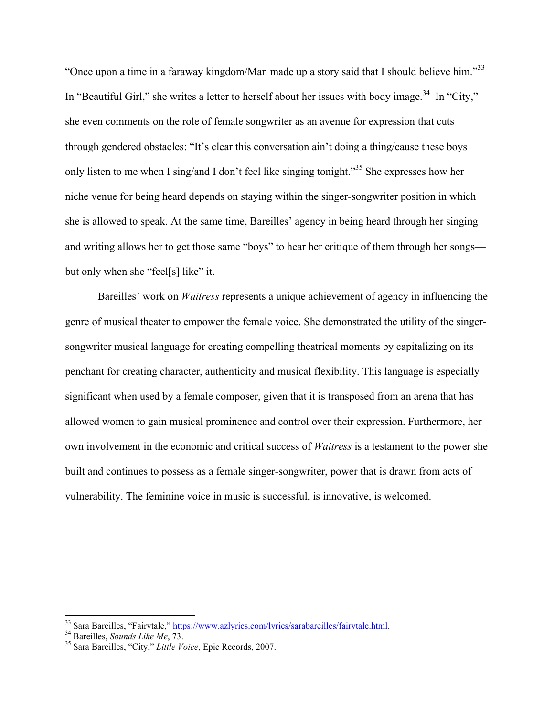"Once upon a time in a faraway kingdom/Man made up a story said that I should believe him."<sup>33</sup> In "Beautiful Girl," she writes a letter to herself about her issues with body image.<sup>34</sup> In "City," she even comments on the role of female songwriter as an avenue for expression that cuts through gendered obstacles: "It's clear this conversation ain't doing a thing/cause these boys only listen to me when I sing/and I don't feel like singing tonight."<sup>35</sup> She expresses how her niche venue for being heard depends on staying within the singer-songwriter position in which she is allowed to speak. At the same time, Bareilles' agency in being heard through her singing and writing allows her to get those same "boys" to hear her critique of them through her songs but only when she "feel[s] like" it.

Bareilles' work on *Waitress* represents a unique achievement of agency in influencing the genre of musical theater to empower the female voice. She demonstrated the utility of the singersongwriter musical language for creating compelling theatrical moments by capitalizing on its penchant for creating character, authenticity and musical flexibility. This language is especially significant when used by a female composer, given that it is transposed from an arena that has allowed women to gain musical prominence and control over their expression. Furthermore, her own involvement in the economic and critical success of *Waitress* is a testament to the power she built and continues to possess as a female singer-songwriter, power that is drawn from acts of vulnerability. The feminine voice in music is successful, is innovative, is welcomed.

<sup>33</sup> Sara Bareilles, "Fairytale," https://www.azlyrics.com/lyrics/sarabareilles/fairytale.html. 34 Bareilles, *Sounds Like Me*, 73. <sup>35</sup> Sara Bareilles, "City," *Little Voice*, Epic Records, 2007.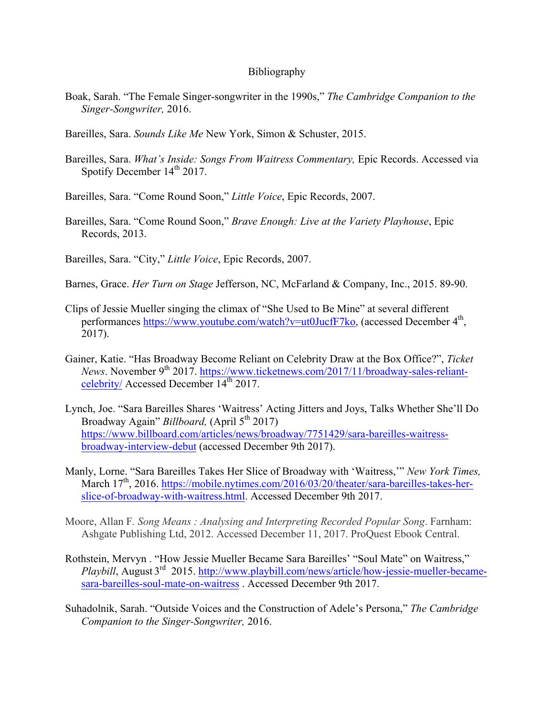## Bibliography

- Boak, Sarah. "The Female Singer-songwriter in the 1990s," *The Cambridge Companion to the Singer-Songwriter,* 2016.
- Bareilles, Sara. *Sounds Like Me* New York, Simon & Schuster, 2015.
- Bareilles, Sara. *What's Inside: Songs From Waitress Commentary,* Epic Records. Accessed via Spotify December  $14<sup>th</sup> 2017$ .

Bareilles, Sara. "Come Round Soon," *Little Voice*, Epic Records, 2007.

Bareilles, Sara. "Come Round Soon," *Brave Enough: Live at the Variety Playhouse*, Epic Records, 2013.

Bareilles, Sara. "City," *Little Voice*, Epic Records, 2007.

- Barnes, Grace. *Her Turn on Stage* Jefferson, NC, McFarland & Company, Inc., 2015. 89-90.
- Clips of Jessie Mueller singing the climax of "She Used to Be Mine" at several different performances https://www.youtube.com/watch?v=ut0JucfF7ko, (accessed December 4<sup>th</sup>, 2017).
- Gainer, Katie. "Has Broadway Become Reliant on Celebrity Draw at the Box Office?", *Ticket News*. November 9<sup>th</sup> 2017. https://www.ticketnews.com/2017/11/broadway-sales-reliantcelebrity/ Accessed December 14<sup>th</sup> 2017.
- Lynch, Joe. "Sara Bareilles Shares 'Waitress' Acting Jitters and Joys, Talks Whether She'll Do Broadway Again" *Billboard*, (April 5<sup>th</sup> 2017) https://www.billboard.com/articles/news/broadway/7751429/sara-bareilles-waitressbroadway-interview-debut (accessed December 9th 2017).
- Manly, Lorne. "Sara Bareilles Takes Her Slice of Broadway with 'Waitress,'" *New York Times,*  March 17<sup>th</sup>, 2016. https://mobile.nytimes.com/2016/03/20/theater/sara-bareilles-takes-herslice-of-broadway-with-waitress.html. Accessed December 9th 2017.
- Moore, Allan F*. Song Means : Analysing and Interpreting Recorded Popular Song*. Farnham: Ashgate Publishing Ltd, 2012. Accessed December 11, 2017. ProQuest Ebook Central.
- Rothstein, Mervyn . "How Jessie Mueller Became Sara Bareilles' "Soul Mate" on Waitress," *Playbill*, August 3rd 2015. http://www.playbill.com/news/article/how-jessie-mueller-becamesara-bareilles-soul-mate-on-waitress . Accessed December 9th 2017.
- Suhadolnik, Sarah. "Outside Voices and the Construction of Adele's Persona," *The Cambridge Companion to the Singer-Songwriter,* 2016.